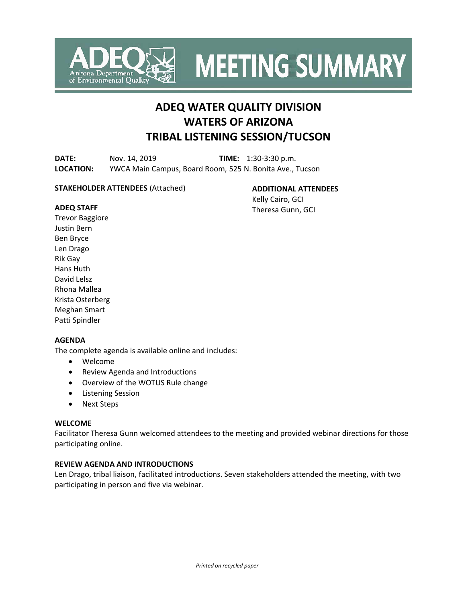

**MEETING SUMMARY** 

# **ADEQ WATER QUALITY DIVISION WATERS OF ARIZONA TRIBAL LISTENING SESSION/TUCSON**

**DATE:** Nov. 14, 2019 **TIME:** 1:30-3:30 p.m. **LOCATION:** YWCA Main Campus, Board Room, 525 N. Bonita Ave., Tucson

#### **STAKEHOLDER ATTENDEES** (Attached)

**ADDITIONAL ATTENDEES**

Kelly Cairo, GCI Theresa Gunn, GCI

## **ADEQ STAFF**

Trevor Baggiore Justin Bern Ben Bryce Len Drago Rik Gay Hans Huth David Lelsz Rhona Mallea Krista Osterberg Meghan Smart Patti Spindler

## **AGENDA**

The complete agenda is available online and includes:

- Welcome
- Review Agenda and Introductions
- Overview of the WOTUS Rule change
- Listening Session
- Next Steps

## **WELCOME**

Facilitator Theresa Gunn welcomed attendees to the meeting and provided webinar directions for those participating online.

# **REVIEW AGENDA AND INTRODUCTIONS**

Len Drago, tribal liaison, facilitated introductions. Seven stakeholders attended the meeting, with two participating in person and five via webinar.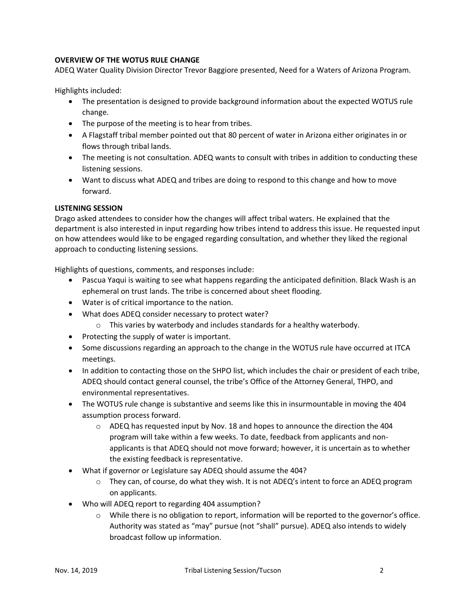# **OVERVIEW OF THE WOTUS RULE CHANGE**

ADEQ Water Quality Division Director Trevor Baggiore presented, Need for a Waters of Arizona Program.

Highlights included:

- The presentation is designed to provide background information about the expected WOTUS rule change.
- The purpose of the meeting is to hear from tribes.
- A Flagstaff tribal member pointed out that 80 percent of water in Arizona either originates in or flows through tribal lands.
- The meeting is not consultation. ADEQ wants to consult with tribes in addition to conducting these listening sessions.
- Want to discuss what ADEQ and tribes are doing to respond to this change and how to move forward.

# **LISTENING SESSION**

Drago asked attendees to consider how the changes will affect tribal waters. He explained that the department is also interested in input regarding how tribes intend to address this issue. He requested input on how attendees would like to be engaged regarding consultation, and whether they liked the regional approach to conducting listening sessions.

Highlights of questions, comments, and responses include:

- Pascua Yaqui is waiting to see what happens regarding the anticipated definition. Black Wash is an ephemeral on trust lands. The tribe is concerned about sheet flooding.
- Water is of critical importance to the nation.
- What does ADEQ consider necessary to protect water?
	- o This varies by waterbody and includes standards for a healthy waterbody.
- Protecting the supply of water is important.
- Some discussions regarding an approach to the change in the WOTUS rule have occurred at ITCA meetings.
- In addition to contacting those on the SHPO list, which includes the chair or president of each tribe, ADEQ should contact general counsel, the tribe's Office of the Attorney General, THPO, and environmental representatives.
- The WOTUS rule change is substantive and seems like this in insurmountable in moving the 404 assumption process forward.
	- $\circ$  ADEQ has requested input by Nov. 18 and hopes to announce the direction the 404 program will take within a few weeks. To date, feedback from applicants and nonapplicants is that ADEQ should not move forward; however, it is uncertain as to whether the existing feedback is representative.
- What if governor or Legislature say ADEQ should assume the 404?
	- $\circ$  They can, of course, do what they wish. It is not ADEQ's intent to force an ADEQ program on applicants.
- Who will ADEQ report to regarding 404 assumption?
	- $\circ$  While there is no obligation to report, information will be reported to the governor's office. Authority was stated as "may" pursue (not "shall" pursue). ADEQ also intends to widely broadcast follow up information.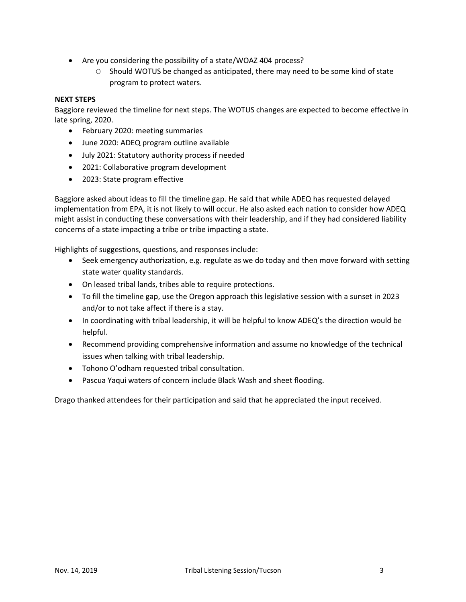- Are you considering the possibility of a state/WOAZ 404 process?
	- O Should WOTUS be changed as anticipated, there may need to be some kind of state program to protect waters.

#### **NEXT STEPS**

Baggiore reviewed the timeline for next steps. The WOTUS changes are expected to become effective in late spring, 2020.

- February 2020: meeting summaries
- June 2020: ADEQ program outline available
- July 2021: Statutory authority process if needed
- 2021: Collaborative program development
- 2023: State program effective

Baggiore asked about ideas to fill the timeline gap. He said that while ADEQ has requested delayed implementation from EPA, it is not likely to will occur. He also asked each nation to consider how ADEQ might assist in conducting these conversations with their leadership, and if they had considered liability concerns of a state impacting a tribe or tribe impacting a state.

Highlights of suggestions, questions, and responses include:

- Seek emergency authorization, e.g. regulate as we do today and then move forward with setting state water quality standards.
- On leased tribal lands, tribes able to require protections.
- To fill the timeline gap, use the Oregon approach this legislative session with a sunset in 2023 and/or to not take affect if there is a stay.
- In coordinating with tribal leadership, it will be helpful to know ADEQ's the direction would be helpful.
- Recommend providing comprehensive information and assume no knowledge of the technical issues when talking with tribal leadership.
- Tohono O'odham requested tribal consultation.
- Pascua Yaqui waters of concern include Black Wash and sheet flooding.

Drago thanked attendees for their participation and said that he appreciated the input received.